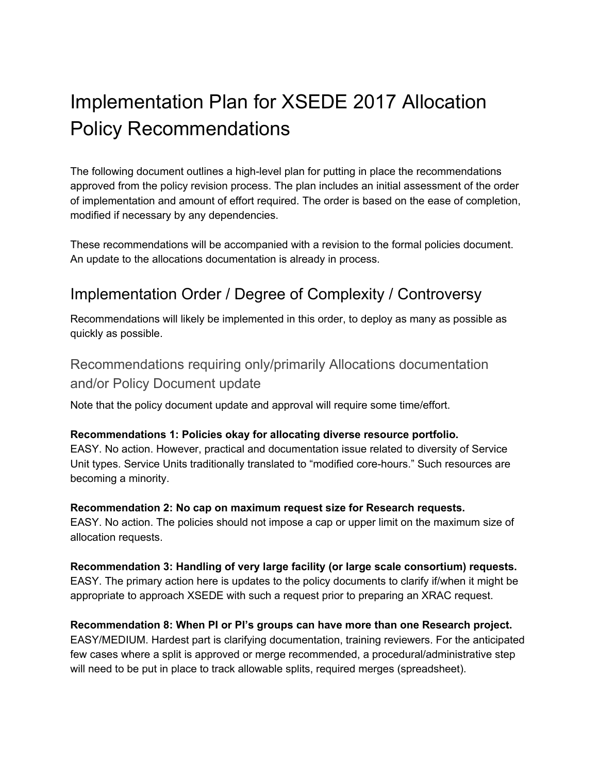# Implementation Plan for XSEDE 2017 Allocation Policy Recommendations

The following document outlines a high-level plan for putting in place the recommendations approved from the policy revision process. The plan includes an initial assessment of the order of implementation and amount of effort required. The order is based on the ease of completion, modified if necessary by any dependencies.

These recommendations will be accompanied with a revision to the formal policies document. An update to the allocations documentation is already in process.

## Implementation Order / Degree of Complexity / Controversy

Recommendations will likely be implemented in this order, to deploy as many as possible as quickly as possible.

### Recommendations requiring only/primarily Allocations documentation and/or Policy Document update

Note that the policy document update and approval will require some time/effort.

#### **Recommendations 1: Policies okay for allocating diverse resource portfolio.**

EASY. No action. However, practical and documentation issue related to diversity of Service Unit types. Service Units traditionally translated to "modified core-hours." Such resources are becoming a minority.

**Recommendation 2: No cap on maximum request size for Research requests.** EASY. No action. The policies should not impose a cap or upper limit on the maximum size of allocation requests.

**Recommendation 3: Handling of very large facility (or large scale consortium) requests.** EASY. The primary action here is updates to the policy documents to clarify if/when it might be appropriate to approach XSEDE with such a request prior to preparing an XRAC request.

#### **Recommendation 8: When PI or PI's groups can have more than one Research project.**

EASY/MEDIUM. Hardest part is clarifying documentation, training reviewers. For the anticipated few cases where a split is approved or merge recommended, a procedural/administrative step will need to be put in place to track allowable splits, required merges (spreadsheet).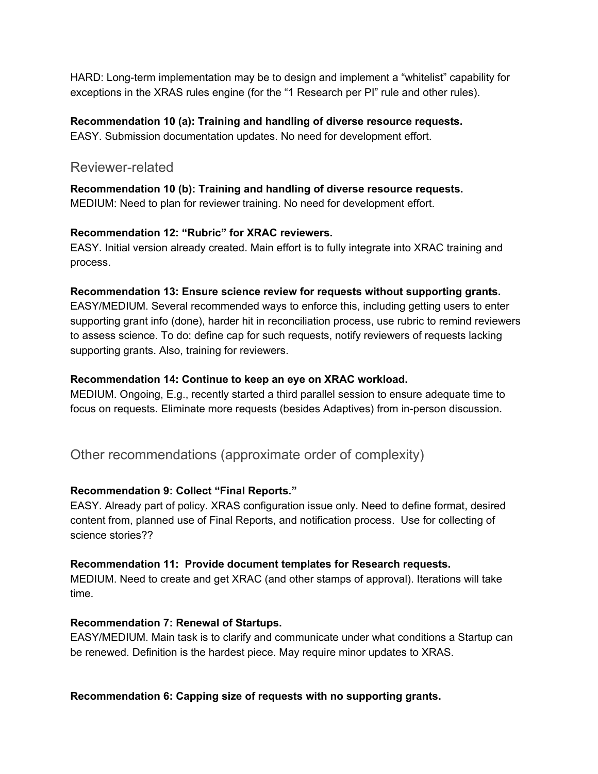HARD: Long-term implementation may be to design and implement a "whitelist" capability for exceptions in the XRAS rules engine (for the "1 Research per PI" rule and other rules).

#### **Recommendation 10 (a): Training and handling of diverse resource requests.**

EASY. Submission documentation updates. No need for development effort.

#### Reviewer-related

**Recommendation 10 (b): Training and handling of diverse resource requests.** MEDIUM: Need to plan for reviewer training. No need for development effort.

#### **Recommendation 12: "Rubric" for XRAC reviewers.**

EASY. Initial version already created. Main effort is to fully integrate into XRAC training and process.

#### **Recommendation 13: Ensure science review for requests without supporting grants.**

EASY/MEDIUM. Several recommended ways to enforce this, including getting users to enter supporting grant info (done), harder hit in reconciliation process, use rubric to remind reviewers to assess science. To do: define cap for such requests, notify reviewers of requests lacking supporting grants. Also, training for reviewers.

#### **Recommendation 14: Continue to keep an eye on XRAC workload.**

MEDIUM. Ongoing, E.g., recently started a third parallel session to ensure adequate time to focus on requests. Eliminate more requests (besides Adaptives) from in-person discussion.

Other recommendations (approximate order of complexity)

#### **Recommendation 9: Collect "Final Reports."**

EASY. Already part of policy. XRAS configuration issue only. Need to define format, desired content from, planned use of Final Reports, and notification process. Use for collecting of science stories??

#### **Recommendation 11: Provide document templates for Research requests.**

MEDIUM. Need to create and get XRAC (and other stamps of approval). Iterations will take time.

#### **Recommendation 7: Renewal of Startups.**

EASY/MEDIUM. Main task is to clarify and communicate under what conditions a Startup can be renewed. Definition is the hardest piece. May require minor updates to XRAS.

**Recommendation 6: Capping size of requests with no supporting grants.**